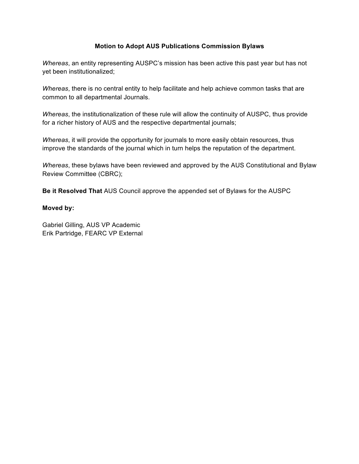#### **Motion to Adopt AUS Publications Commission Bylaws**

*Whereas*, an entity representing AUSPC's mission has been active this past year but has not yet been institutionalized;

*Whereas*, there is no central entity to help facilitate and help achieve common tasks that are common to all departmental Journals.

*Whereas*, the institutionalization of these rule will allow the continuity of AUSPC, thus provide for a richer history of AUS and the respective departmental journals;

*Whereas*, it will provide the opportunity for journals to more easily obtain resources, thus improve the standards of the journal which in turn helps the reputation of the department.

*Whereas*, these bylaws have been reviewed and approved by the AUS Constitutional and Bylaw Review Committee (CBRC);

**Be it Resolved That** AUS Council approve the appended set of Bylaws for the AUSPC

#### **Moved by:**

Gabriel Gilling, AUS VP Academic Erik Partridge, FEARC VP External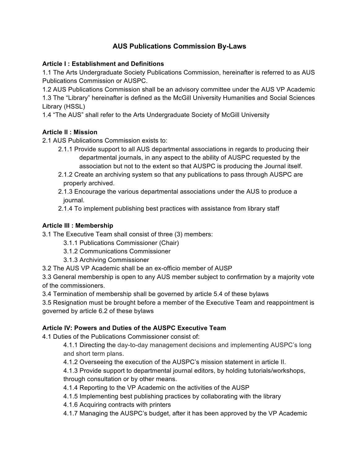# **AUS Publications Commission By-Laws**

## **Article I : Establishment and Definitions**

1.1 The Arts Undergraduate Society Publications Commission, hereinafter is referred to as AUS Publications Commission or AUSPC.

1.2 AUS Publications Commission shall be an advisory committee under the AUS VP Academic 1.3 The "Library" hereinafter is defined as the McGill University Humanities and Social Sciences Library (HSSL)

1.4 "The AUS" shall refer to the Arts Undergraduate Society of McGill University

# **Article II : Mission**

2.1 AUS Publications Commission exists to:

- 2.1.1 Provide support to all AUS departmental associations in regards to producing their departmental journals, in any aspect to the ability of AUSPC requested by the association but not to the extent so that AUSPC is producing the Journal itself.
- 2.1.2 Create an archiving system so that any publications to pass through AUSPC are properly archived.
- 2.1.3 Encourage the various departmental associations under the AUS to produce a journal.
- 2.1.4 To implement publishing best practices with assistance from library staff

## **Article III : Membership**

- 3.1 The Executive Team shall consist of three (3) members:
	- 3.1.1 Publications Commissioner (Chair)
	- 3.1.2 Communications Commissioner
	- 3.1.3 Archiving Commissioner
- 3.2 The AUS VP Academic shall be an ex-officio member of AUSP

3.3 General membership is open to any AUS member subject to confirmation by a majority vote of the commissioners.

3.4 Termination of membership shall be governed by article 5.4 of these bylaws

3.5 Resignation must be brought before a member of the Executive Team and reappointment is governed by article 6.2 of these bylaws

#### **Article IV: Powers and Duties of the AUSPC Executive Team**

4.1 Duties of the Publications Commissioner consist of:

- 4.1.1 Directing the day-to-day management decisions and implementing AUSPC's long and short term plans.
- 4.1.2 Overseeing the execution of the AUSPC's mission statement in article II.

4.1.3 Provide support to departmental journal editors, by holding tutorials/workshops, through consultation or by other means.

- 4.1.4 Reporting to the VP Academic on the activities of the AUSP
- 4.1.5 Implementing best publishing practices by collaborating with the library
- 4.1.6 Acquiring contracts with printers
- 4.1.7 Managing the AUSPC's budget, after it has been approved by the VP Academic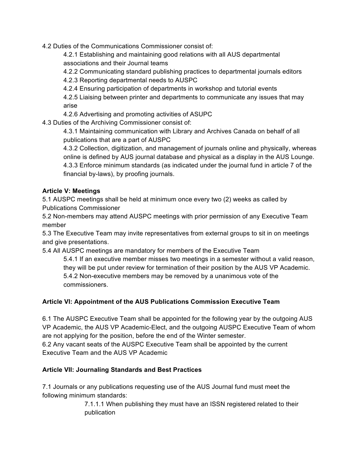4.2 Duties of the Communications Commissioner consist of:

4.2.1 Establishing and maintaining good relations with all AUS departmental associations and their Journal teams

4.2.2 Communicating standard publishing practices to departmental journals editors

4.2.3 Reporting departmental needs to AUSPC

4.2.4 Ensuring participation of departments in workshop and tutorial events

4.2.5 Liaising between printer and departments to communicate any issues that may arise

4.2.6 Advertising and promoting activities of ASUPC

4.3 Duties of the Archiving Commissioner consist of:

4.3.1 Maintaining communication with Library and Archives Canada on behalf of all publications that are a part of AUSPC

4.3.2 Collection, digitization, and management of journals online and physically, whereas online is defined by AUS journal database and physical as a display in the AUS Lounge. 4.3.3 Enforce minimum standards (as indicated under the journal fund in article 7 of the financial by-laws), by proofing journals.

## **Article V: Meetings**

5.1 AUSPC meetings shall be held at minimum once every two (2) weeks as called by Publications Commissioner

5.2 Non-members may attend AUSPC meetings with prior permission of any Executive Team member

5.3 The Executive Team may invite representatives from external groups to sit in on meetings and give presentations.

5.4 All AUSPC meetings are mandatory for members of the Executive Team

5.4.1 If an executive member misses two meetings in a semester without a valid reason, they will be put under review for termination of their position by the AUS VP Academic. 5.4.2 Non-executive members may be removed by a unanimous vote of the commissioners.

# **Article VI: Appointment of the AUS Publications Commission Executive Team**

6.1 The AUSPC Executive Team shall be appointed for the following year by the outgoing AUS VP Academic, the AUS VP Academic-Elect, and the outgoing AUSPC Executive Team of whom are not applying for the position, before the end of the Winter semester.

6.2 Any vacant seats of the AUSPC Executive Team shall be appointed by the current Executive Team and the AUS VP Academic

# **Article VII: Journaling Standards and Best Practices**

7.1 Journals or any publications requesting use of the AUS Journal fund must meet the following minimum standards:

> 7.1.1.1 When publishing they must have an ISSN registered related to their publication